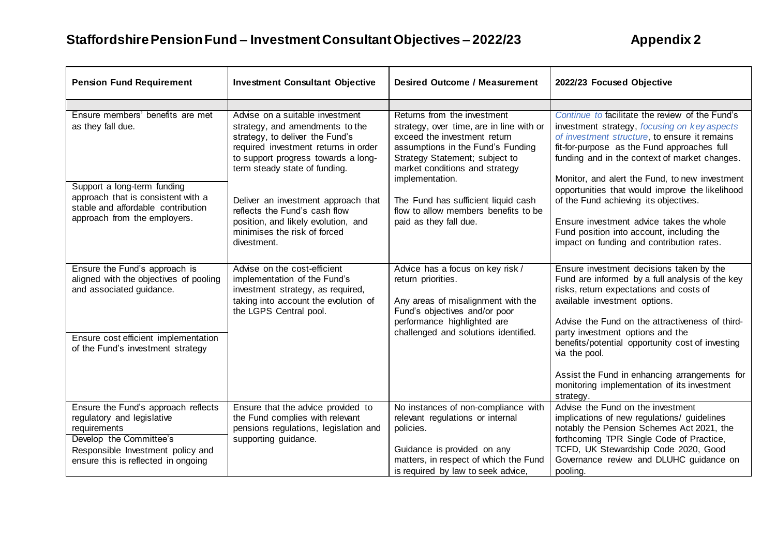| <b>Pension Fund Requirement</b>                                                                                                                                                                  | <b>Investment Consultant Objective</b>                                                                                                                                                                                                                                                                                                                                              | <b>Desired Outcome / Measurement</b>                                                                                                                                                                                                                                                                                                         | 2022/23 Focused Objective                                                                                                                                                                                                                                                                                                                                                                                                                                                                                                            |
|--------------------------------------------------------------------------------------------------------------------------------------------------------------------------------------------------|-------------------------------------------------------------------------------------------------------------------------------------------------------------------------------------------------------------------------------------------------------------------------------------------------------------------------------------------------------------------------------------|----------------------------------------------------------------------------------------------------------------------------------------------------------------------------------------------------------------------------------------------------------------------------------------------------------------------------------------------|--------------------------------------------------------------------------------------------------------------------------------------------------------------------------------------------------------------------------------------------------------------------------------------------------------------------------------------------------------------------------------------------------------------------------------------------------------------------------------------------------------------------------------------|
|                                                                                                                                                                                                  |                                                                                                                                                                                                                                                                                                                                                                                     |                                                                                                                                                                                                                                                                                                                                              |                                                                                                                                                                                                                                                                                                                                                                                                                                                                                                                                      |
| Ensure members' benefits are met<br>as they fall due.<br>Support a long-term funding<br>approach that is consistent with a<br>stable and affordable contribution<br>approach from the employers. | Advise on a suitable investment<br>strategy, and amendments to the<br>strategy, to deliver the Fund's<br>required investment returns in order<br>to support progress towards a long-<br>term steady state of funding.<br>Deliver an investment approach that<br>reflects the Fund's cash flow<br>position, and likely evolution, and<br>minimises the risk of forced<br>divestment. | Returns from the investment<br>strategy, over time, are in line with or<br>exceed the investment return<br>assumptions in the Fund's Funding<br>Strategy Statement; subject to<br>market conditions and strategy<br>implementation.<br>The Fund has sufficient liquid cash<br>flow to allow members benefits to be<br>paid as they fall due. | Continue to facilitate the review of the Fund's<br>investment strategy, focusing on key aspects<br>of investment structure, to ensure it remains<br>fit-for-purpose as the Fund approaches full<br>funding and in the context of market changes.<br>Monitor, and alert the Fund, to new investment<br>opportunities that would improve the likelihood<br>of the Fund achieving its objectives.<br>Ensure investment advice takes the whole<br>Fund position into account, including the<br>impact on funding and contribution rates. |
| Ensure the Fund's approach is<br>aligned with the objectives of pooling<br>and associated guidance.<br>Ensure cost efficient implementation<br>of the Fund's investment strategy                 | Advise on the cost-efficient<br>implementation of the Fund's<br>investment strategy, as required,<br>taking into account the evolution of<br>the LGPS Central pool.                                                                                                                                                                                                                 | Advice has a focus on key risk /<br>return priorities.<br>Any areas of misalignment with the<br>Fund's objectives and/or poor<br>performance highlighted are<br>challenged and solutions identified.                                                                                                                                         | Ensure investment decisions taken by the<br>Fund are informed by a full analysis of the key<br>risks, return expectations and costs of<br>available investment options.<br>Advise the Fund on the attractiveness of third-<br>party investment options and the<br>benefits/potential opportunity cost of investing<br>via the pool.<br>Assist the Fund in enhancing arrangements for<br>monitoring implementation of its investment<br>strategy.                                                                                     |
| Ensure the Fund's approach reflects<br>regulatory and legislative<br>requirements<br>Develop the Committee's<br>Responsible Investment policy and<br>ensure this is reflected in ongoing         | Ensure that the advice provided to<br>the Fund complies with relevant<br>pensions regulations, legislation and<br>supporting guidance.                                                                                                                                                                                                                                              | No instances of non-compliance with<br>relevant regulations or internal<br>policies.<br>Guidance is provided on any<br>matters, in respect of which the Fund<br>is required by law to seek advice,                                                                                                                                           | Advise the Fund on the investment<br>implications of new regulations/ guidelines<br>notably the Pension Schemes Act 2021, the<br>forthcoming TPR Single Code of Practice,<br>TCFD, UK Stewardship Code 2020, Good<br>Governance review and DLUHC guidance on<br>pooling.                                                                                                                                                                                                                                                             |